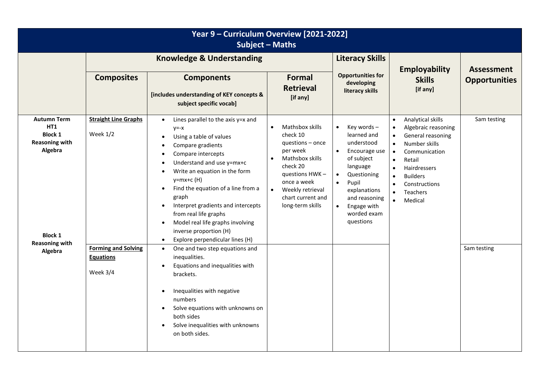| Year 9 - Curriculum Overview [2021-2022]<br><b>Subject - Maths</b>                                                                    |                                                                                                         |                                                                                                                                                                                                                                                                                                                                                                                                                                                                                                                                                                                                                                                                                                                                                                                                                                             |                                                                                                                                                                                                                      |                                                                                                                                                                                                                                                         |                                                                                                                                                                                                                                                              |                            |  |
|---------------------------------------------------------------------------------------------------------------------------------------|---------------------------------------------------------------------------------------------------------|---------------------------------------------------------------------------------------------------------------------------------------------------------------------------------------------------------------------------------------------------------------------------------------------------------------------------------------------------------------------------------------------------------------------------------------------------------------------------------------------------------------------------------------------------------------------------------------------------------------------------------------------------------------------------------------------------------------------------------------------------------------------------------------------------------------------------------------------|----------------------------------------------------------------------------------------------------------------------------------------------------------------------------------------------------------------------|---------------------------------------------------------------------------------------------------------------------------------------------------------------------------------------------------------------------------------------------------------|--------------------------------------------------------------------------------------------------------------------------------------------------------------------------------------------------------------------------------------------------------------|----------------------------|--|
|                                                                                                                                       | <b>Knowledge &amp; Understanding</b>                                                                    |                                                                                                                                                                                                                                                                                                                                                                                                                                                                                                                                                                                                                                                                                                                                                                                                                                             |                                                                                                                                                                                                                      | <b>Literacy Skills</b>                                                                                                                                                                                                                                  | <b>Employability</b>                                                                                                                                                                                                                                         | <b>Assessment</b>          |  |
|                                                                                                                                       | <b>Composites</b>                                                                                       | <b>Components</b><br>[includes understanding of KEY concepts &<br>subject specific vocab]                                                                                                                                                                                                                                                                                                                                                                                                                                                                                                                                                                                                                                                                                                                                                   | Formal<br><b>Retrieval</b><br>[if any]                                                                                                                                                                               | <b>Opportunities for</b><br>developing<br>literacy skills                                                                                                                                                                                               | <b>Skills</b><br>[if any]                                                                                                                                                                                                                                    | <b>Opportunities</b>       |  |
| <b>Autumn Term</b><br>HT1<br><b>Block 1</b><br><b>Reasoning with</b><br>Algebra<br><b>Block 1</b><br><b>Reasoning with</b><br>Algebra | <b>Straight Line Graphs</b><br>Week $1/2$<br><b>Forming and Solving</b><br><b>Equations</b><br>Week 3/4 | Lines parallel to the axis y=x and<br>$\bullet$<br>$y=-x$<br>Using a table of values<br>$\bullet$<br>Compare gradients<br>$\bullet$<br>Compare intercepts<br>$\bullet$<br>Understand and use y=mx+c<br>$\bullet$<br>Write an equation in the form<br>$\bullet$<br>$y=mx+c(H)$<br>Find the equation of a line from a<br>$\bullet$<br>graph<br>Interpret gradients and intercepts<br>$\bullet$<br>from real life graphs<br>Model real life graphs involving<br>$\bullet$<br>inverse proportion (H)<br>Explore perpendicular lines (H)<br>$\bullet$<br>One and two step equations and<br>$\bullet$<br>inequalities.<br>Equations and inequalities with<br>brackets.<br>Inequalities with negative<br>$\bullet$<br>numbers<br>Solve equations with unknowns on<br>$\bullet$<br>both sides<br>Solve inequalities with unknowns<br>on both sides. | Mathsbox skills<br>$\bullet$<br>check 10<br>questions $-$ once<br>per week<br>Mathsbox skills<br>$\bullet$<br>check 20<br>questions HWK-<br>once a week<br>Weekly retrieval<br>chart current and<br>long-term skills | Key words-<br>$\bullet$<br>learned and<br>understood<br>Encourage use<br>$\bullet$<br>of subject<br>language<br>Questioning<br>$\bullet$<br>Pupil<br>$\bullet$<br>explanations<br>and reasoning<br>$\bullet$<br>Engage with<br>worded exam<br>questions | Analytical skills<br>Algebraic reasoning<br>General reasoning<br>Number skills<br>$\bullet$<br>Communication<br>$\bullet$<br>Retail<br><b>Hairdressers</b><br>$\bullet$<br><b>Builders</b><br>$\bullet$<br>Constructions<br>Teachers<br>Medical<br>$\bullet$ | Sam testing<br>Sam testing |  |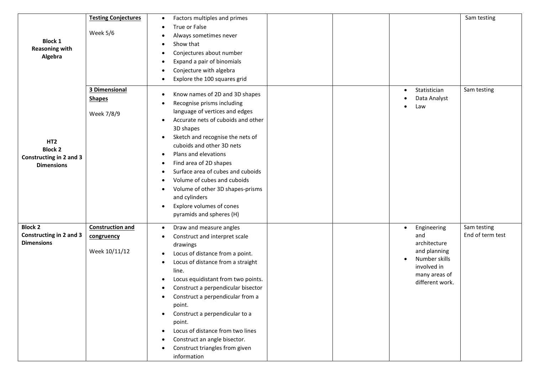|                                                                                   | <b>Testing Conjectures</b>                             | Factors multiples and primes<br>$\bullet$                                                                                                                                                                                                                                                                                                                                                                                                                                                                                                                                               |  |                                                                                                                                     | Sam testing                     |
|-----------------------------------------------------------------------------------|--------------------------------------------------------|-----------------------------------------------------------------------------------------------------------------------------------------------------------------------------------------------------------------------------------------------------------------------------------------------------------------------------------------------------------------------------------------------------------------------------------------------------------------------------------------------------------------------------------------------------------------------------------------|--|-------------------------------------------------------------------------------------------------------------------------------------|---------------------------------|
| <b>Block 1</b><br><b>Reasoning with</b><br>Algebra                                | Week 5/6                                               | True or False<br>$\bullet$<br>Always sometimes never<br>$\bullet$<br>Show that<br>$\bullet$<br>Conjectures about number<br>$\bullet$<br>Expand a pair of binomials<br>$\bullet$<br>Conjecture with algebra<br>$\bullet$<br>Explore the 100 squares grid<br>$\bullet$                                                                                                                                                                                                                                                                                                                    |  |                                                                                                                                     |                                 |
| HT <sub>2</sub><br><b>Block 2</b><br>Constructing in 2 and 3<br><b>Dimensions</b> | 3 Dimensional<br><b>Shapes</b><br>Week 7/8/9           | Know names of 2D and 3D shapes<br>$\bullet$<br>Recognise prisms including<br>$\bullet$<br>language of vertices and edges<br>Accurate nets of cuboids and other<br>$\bullet$<br>3D shapes<br>Sketch and recognise the nets of<br>$\bullet$<br>cuboids and other 3D nets<br>Plans and elevations<br>$\bullet$<br>Find area of 2D shapes<br>$\bullet$<br>Surface area of cubes and cuboids<br>$\bullet$<br>Volume of cubes and cuboids<br>$\bullet$<br>Volume of other 3D shapes-prisms<br>$\bullet$<br>and cylinders<br>Explore volumes of cones<br>$\bullet$<br>pyramids and spheres (H) |  | Statistician<br>$\bullet$<br>Data Analyst<br>Law                                                                                    | Sam testing                     |
| <b>Block 2</b><br>Constructing in 2 and 3<br><b>Dimensions</b>                    | <b>Construction and</b><br>congruency<br>Week 10/11/12 | Draw and measure angles<br>$\bullet$<br>Construct and interpret scale<br>$\bullet$<br>drawings<br>Locus of distance from a point.<br>$\bullet$<br>Locus of distance from a straight<br>$\bullet$<br>line.<br>Locus equidistant from two points.<br>$\bullet$<br>Construct a perpendicular bisector<br>$\bullet$<br>Construct a perpendicular from a<br>$\bullet$<br>point.<br>Construct a perpendicular to a<br>$\bullet$<br>point.<br>Locus of distance from two lines<br>$\bullet$<br>Construct an angle bisector.<br>$\bullet$<br>Construct triangles from given<br>information      |  | Engineering<br>$\bullet$<br>and<br>architecture<br>and planning<br>Number skills<br>involved in<br>many areas of<br>different work. | Sam testing<br>End of term test |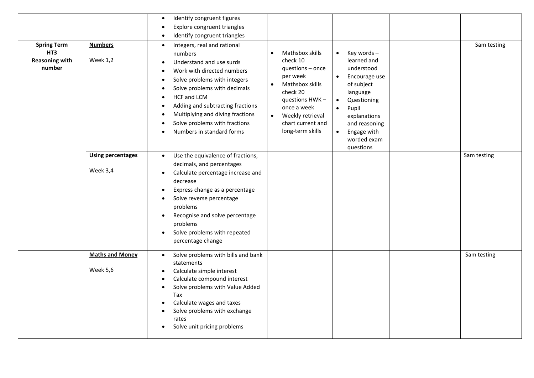| <b>Spring Term</b><br>HT3<br><b>Reasoning with</b><br>number | <b>Numbers</b><br><b>Week 1,2</b><br><b>Using percentages</b> | Identify congruent figures<br>$\bullet$<br>Explore congruent triangles<br>$\bullet$<br>Identify congruent triangles<br>$\bullet$<br>Integers, real and rational<br>$\bullet$<br>numbers<br>Understand and use surds<br>$\bullet$<br>Work with directed numbers<br>Solve problems with integers<br>$\bullet$<br>Solve problems with decimals<br>$\bullet$<br>HCF and LCM<br>$\bullet$<br>Adding and subtracting fractions<br>$\bullet$<br>Multiplying and diving fractions<br>$\bullet$<br>Solve problems with fractions<br>$\bullet$<br>Numbers in standard forms<br>Use the equivalence of fractions,<br>$\bullet$<br>decimals, and percentages | Mathsbox skills<br>$\bullet$<br>check 10<br>questions - once<br>per week<br>Mathsbox skills<br>$\bullet$<br>check 20<br>questions HWK-<br>once a week<br>$\bullet$<br>Weekly retrieval<br>chart current and<br>long-term skills | Key words-<br>$\bullet$<br>learned and<br>understood<br>Encourage use<br>$\bullet$<br>of subject<br>language<br>Questioning<br>$\bullet$<br>Pupil<br>$\bullet$<br>explanations<br>and reasoning<br>Engage with<br>$\bullet$<br>worded exam<br>questions | Sam testing<br>Sam testing |
|--------------------------------------------------------------|---------------------------------------------------------------|--------------------------------------------------------------------------------------------------------------------------------------------------------------------------------------------------------------------------------------------------------------------------------------------------------------------------------------------------------------------------------------------------------------------------------------------------------------------------------------------------------------------------------------------------------------------------------------------------------------------------------------------------|---------------------------------------------------------------------------------------------------------------------------------------------------------------------------------------------------------------------------------|---------------------------------------------------------------------------------------------------------------------------------------------------------------------------------------------------------------------------------------------------------|----------------------------|
|                                                              | Week 3,4                                                      | Calculate percentage increase and<br>$\bullet$<br>decrease<br>Express change as a percentage<br>$\bullet$<br>Solve reverse percentage<br>problems<br>Recognise and solve percentage<br>problems<br>Solve problems with repeated<br>$\bullet$<br>percentage change                                                                                                                                                                                                                                                                                                                                                                                |                                                                                                                                                                                                                                 |                                                                                                                                                                                                                                                         |                            |
|                                                              | <b>Maths and Money</b><br>Week 5,6                            | Solve problems with bills and bank<br>$\bullet$<br>statements<br>Calculate simple interest<br>$\bullet$<br>Calculate compound interest<br>$\bullet$<br>Solve problems with Value Added<br>$\bullet$<br>Tax<br>Calculate wages and taxes<br>$\bullet$<br>Solve problems with exchange<br>rates<br>Solve unit pricing problems<br>$\bullet$                                                                                                                                                                                                                                                                                                        |                                                                                                                                                                                                                                 |                                                                                                                                                                                                                                                         | Sam testing                |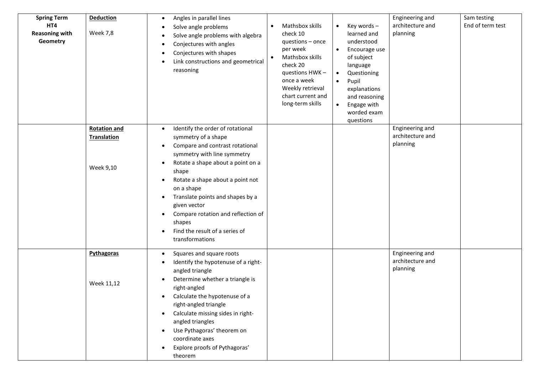| <b>Spring Term</b><br>HT4<br><b>Reasoning with</b><br>Geometry | <b>Deduction</b><br><b>Week 7,8</b>                    | Angles in parallel lines<br>$\bullet$<br>Solve angle problems<br>$\bullet$<br>Solve angle problems with algebra<br>$\bullet$<br>Conjectures with angles<br>$\bullet$<br>Conjectures with shapes<br>$\bullet$<br>Link constructions and geometrical<br>$\bullet$<br>reasoning                                                                                                                                                                                          | Mathsbox skills<br>$\bullet$<br>check 10<br>questions - once<br>per week<br>Mathsbox skills<br>check 20<br>questions HWK-<br>once a week<br>Weekly retrieval<br>chart current and<br>long-term skills | Key words-<br>$\bullet$<br>learned and<br>understood<br>Encourage use<br>$\bullet$<br>of subject<br>language<br>Questioning<br>$\bullet$<br>Pupil<br>$\bullet$<br>explanations<br>and reasoning<br>Engage with<br>$\bullet$<br>worded exam<br>questions | Engineering and<br>architecture and<br>planning | Sam testing<br>End of term test |
|----------------------------------------------------------------|--------------------------------------------------------|-----------------------------------------------------------------------------------------------------------------------------------------------------------------------------------------------------------------------------------------------------------------------------------------------------------------------------------------------------------------------------------------------------------------------------------------------------------------------|-------------------------------------------------------------------------------------------------------------------------------------------------------------------------------------------------------|---------------------------------------------------------------------------------------------------------------------------------------------------------------------------------------------------------------------------------------------------------|-------------------------------------------------|---------------------------------|
|                                                                | <b>Rotation and</b><br><b>Translation</b><br>Week 9,10 | Identify the order of rotational<br>$\bullet$<br>symmetry of a shape<br>Compare and contrast rotational<br>$\bullet$<br>symmetry with line symmetry<br>Rotate a shape about a point on a<br>$\bullet$<br>shape<br>Rotate a shape about a point not<br>٠<br>on a shape<br>Translate points and shapes by a<br>$\bullet$<br>given vector<br>Compare rotation and reflection of<br>$\bullet$<br>shapes<br>Find the result of a series of<br>$\bullet$<br>transformations |                                                                                                                                                                                                       |                                                                                                                                                                                                                                                         | Engineering and<br>architecture and<br>planning |                                 |
|                                                                | Pythagoras<br>Week 11,12                               | Squares and square roots<br>$\bullet$<br>Identify the hypotenuse of a right-<br>$\bullet$<br>angled triangle<br>Determine whether a triangle is<br>right-angled<br>Calculate the hypotenuse of a<br>٠<br>right-angled triangle<br>Calculate missing sides in right-<br>٠<br>angled triangles<br>Use Pythagoras' theorem on<br>$\bullet$<br>coordinate axes<br>Explore proofs of Pythagoras'<br>theorem                                                                |                                                                                                                                                                                                       |                                                                                                                                                                                                                                                         | Engineering and<br>architecture and<br>planning |                                 |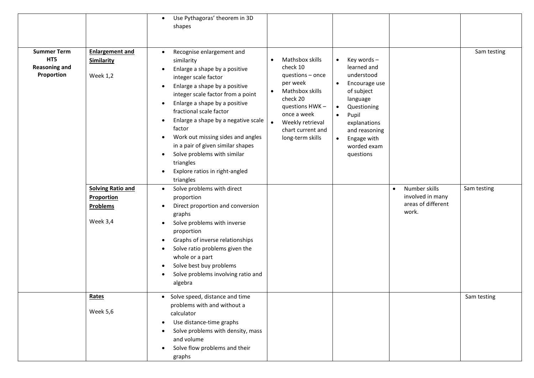|                                                                 |                                                                                                                                  | Use Pythagoras' theorem in 3D<br>$\bullet$<br>shapes                                                                                                                                                                                                                                                                                                                                                                                                                                                                                                                                                                                                                                                                                                                                                                                                                                                                                      |                                                                                                                                                                                                                                 |                                                                                                                                                                                                                                                         |                                                                               |                            |
|-----------------------------------------------------------------|----------------------------------------------------------------------------------------------------------------------------------|-------------------------------------------------------------------------------------------------------------------------------------------------------------------------------------------------------------------------------------------------------------------------------------------------------------------------------------------------------------------------------------------------------------------------------------------------------------------------------------------------------------------------------------------------------------------------------------------------------------------------------------------------------------------------------------------------------------------------------------------------------------------------------------------------------------------------------------------------------------------------------------------------------------------------------------------|---------------------------------------------------------------------------------------------------------------------------------------------------------------------------------------------------------------------------------|---------------------------------------------------------------------------------------------------------------------------------------------------------------------------------------------------------------------------------------------------------|-------------------------------------------------------------------------------|----------------------------|
| <b>Summer Term</b><br>HT5<br><b>Reasoning and</b><br>Proportion | <b>Enlargement and</b><br>Similarity<br><b>Week 1,2</b><br><b>Solving Ratio and</b><br>Proportion<br><b>Problems</b><br>Week 3,4 | Recognise enlargement and<br>$\bullet$<br>similarity<br>Enlarge a shape by a positive<br>$\bullet$<br>integer scale factor<br>Enlarge a shape by a positive<br>٠<br>integer scale factor from a point<br>Enlarge a shape by a positive<br>$\bullet$<br>fractional scale factor<br>Enlarge a shape by a negative scale<br>٠<br>factor<br>Work out missing sides and angles<br>$\bullet$<br>in a pair of given similar shapes<br>Solve problems with similar<br>$\bullet$<br>triangles<br>Explore ratios in right-angled<br>$\bullet$<br>triangles<br>Solve problems with direct<br>$\bullet$<br>proportion<br>Direct proportion and conversion<br>$\bullet$<br>graphs<br>Solve problems with inverse<br>$\bullet$<br>proportion<br>Graphs of inverse relationships<br>$\bullet$<br>Solve ratio problems given the<br>$\bullet$<br>whole or a part<br>Solve best buy problems<br>$\bullet$<br>Solve problems involving ratio and<br>algebra | Mathsbox skills<br>$\bullet$<br>check 10<br>questions - once<br>per week<br>Mathsbox skills<br>$\bullet$<br>check 20<br>questions HWK-<br>once a week<br>$\bullet$<br>Weekly retrieval<br>chart current and<br>long-term skills | Key words-<br>$\bullet$<br>learned and<br>understood<br>Encourage use<br>$\bullet$<br>of subject<br>language<br>Questioning<br>$\bullet$<br>Pupil<br>$\bullet$<br>explanations<br>and reasoning<br>Engage with<br>$\bullet$<br>worded exam<br>questions | Number skills<br>$\bullet$<br>involved in many<br>areas of different<br>work. | Sam testing<br>Sam testing |
|                                                                 | Rates<br>Week 5,6                                                                                                                | • Solve speed, distance and time<br>problems with and without a<br>calculator<br>Use distance-time graphs<br>$\bullet$<br>Solve problems with density, mass<br>$\bullet$<br>and volume<br>Solve flow problems and their<br>graphs                                                                                                                                                                                                                                                                                                                                                                                                                                                                                                                                                                                                                                                                                                         |                                                                                                                                                                                                                                 |                                                                                                                                                                                                                                                         |                                                                               | Sam testing                |